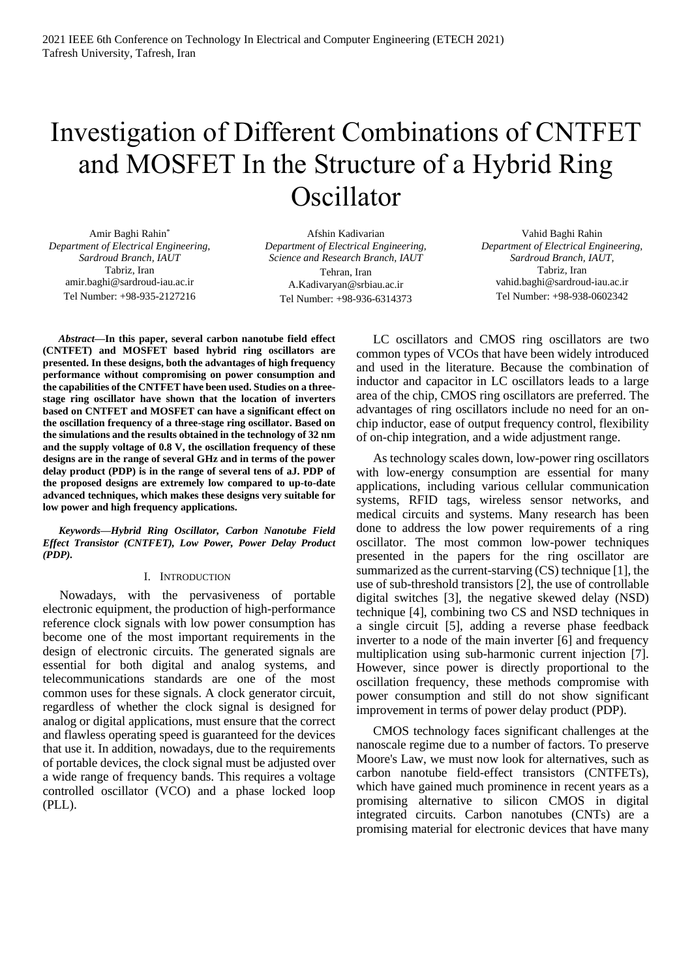# Investigation of Different Combinations of CNTFET and MOSFET In the Structure of a Hybrid Ring Oscillator

Amir Baghi Rahin\* *Department of Electrical Engineering, Sardroud Branch, IAUT* Tabriz, Iran amir.baghi@sardroud-iau.ac.ir Tel Number: +98-935-2127216

Afshin Kadivarian *Department of Electrical Engineering, Science and Research Branch, IAUT* Tehran, Iran A.Kadivaryan@srbiau.ac.ir Tel Number: +98-936-6314373

Vahid Baghi Rahin *Department of Electrical Engineering, Sardroud Branch, IAUT,*  Tabriz, Iran vahid.baghi@sardroud-iau.ac.ir Tel Number: +98-938-0602342

*Abstract***—In this paper, several carbon nanotube field effect (CNTFET) and MOSFET based hybrid ring oscillators are presented. In these designs, both the advantages of high frequency performance without compromising on power consumption and the capabilities of the CNTFET have been used. Studies on a threestage ring oscillator have shown that the location of inverters based on CNTFET and MOSFET can have a significant effect on the oscillation frequency of a three-stage ring oscillator. Based on the simulations and the results obtained in the technology of 32 nm and the supply voltage of 0.8 V, the oscillation frequency of these designs are in the range of several GHz and in terms of the power delay product (PDP) is in the range of several tens of aJ. PDP of the proposed designs are extremely low compared to up-to-date advanced techniques, which makes these designs very suitable for low power and high frequency applications.**

*Keywords—Hybrid Ring Oscillator, Carbon Nanotube Field Effect Transistor (CNTFET), Low Power, Power Delay Product (PDP).*

## I. INTRODUCTION

Nowadays, with the pervasiveness of portable electronic equipment, the production of high-performance reference clock signals with low power consumption has become one of the most important requirements in the design of electronic circuits. The generated signals are essential for both digital and analog systems, and telecommunications standards are one of the most common uses for these signals. A clock generator circuit, regardless of whether the clock signal is designed for analog or digital applications, must ensure that the correct and flawless operating speed is guaranteed for the devices that use it. In addition, nowadays, due to the requirements of portable devices, the clock signal must be adjusted over a wide range of frequency bands. This requires a voltage controlled oscillator (VCO) and a phase locked loop (PLL).

LC oscillators and CMOS ring oscillators are two common types of VCOs that have been widely introduced and used in the literature. Because the combination of inductor and capacitor in LC oscillators leads to a large area of the chip, CMOS ring oscillators are preferred. The advantages of ring oscillators include no need for an onchip inductor, ease of output frequency control, flexibility of on-chip integration, and a wide adjustment range.

As technology scales down, low-power ring oscillators with low-energy consumption are essential for many applications, including various cellular communication systems, RFID tags, wireless sensor networks, and medical circuits and systems. Many research has been done to address the low power requirements of a ring oscillator. The most common low-power techniques presented in the papers for the ring oscillator are summarized as the current-starving (CS) technique [1], the use of sub-threshold transistors [2], the use of controllable digital switches [3], the negative skewed delay (NSD) technique [4], combining two CS and NSD techniques in a single circuit [5], adding a reverse phase feedback inverter to a node of the main inverter [6] and frequency multiplication using sub-harmonic current injection [7]. However, since power is directly proportional to the oscillation frequency, these methods compromise with power consumption and still do not show significant improvement in terms of power delay product (PDP).

CMOS technology faces significant challenges at the nanoscale regime due to a number of factors. To preserve Moore's Law, we must now look for alternatives, such as carbon nanotube field-effect transistors (CNTFETs), which have gained much prominence in recent years as a promising alternative to silicon CMOS in digital integrated circuits. Carbon nanotubes (CNTs) are a promising material for electronic devices that have many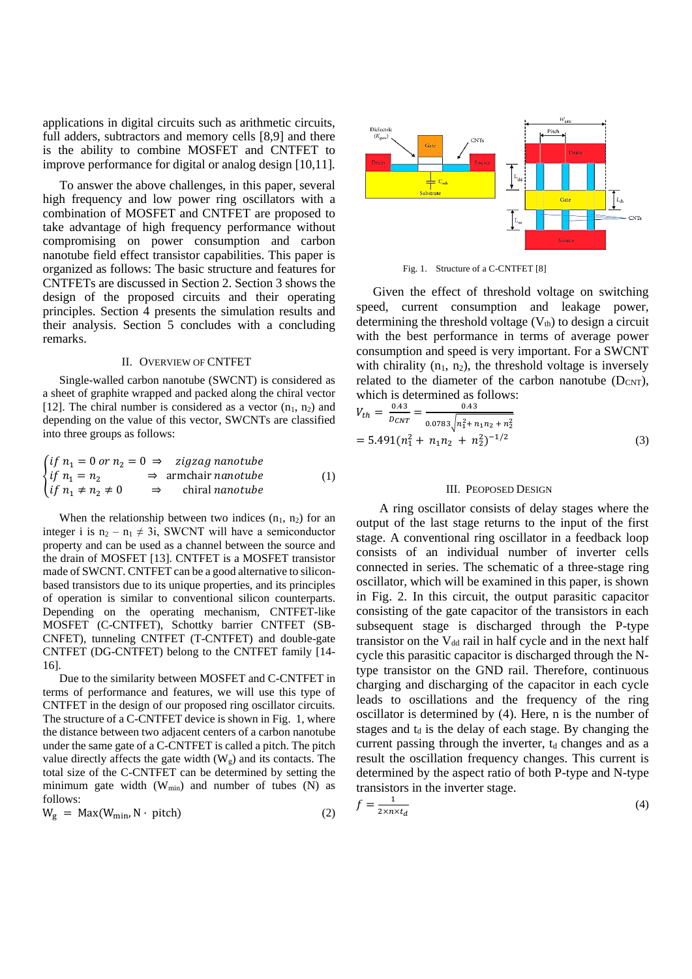applications in digital circuits such as arithmetic circuits, full adders, subtractors and memory cells [8,9] and there is the ability to combine MOSFET and CNTFET to improve performance for digital or analog design [10,11].

To answer the above challenges, in this paper, several high frequency and low power ring oscillators with a combination of MOSFET and CNTFET are proposed to take advantage of high frequency performance without compromising on power consumption and carbon nanotube field effect transistor capabilities. This paper is organized as follows: The basic structure and features for CNTFETs are discussed in Section 2. Section 3 shows the design of the proposed circuits and their operating principles. Section 4 presents the simulation results and their analysis. Section 5 concludes with a concluding remarks.

#### II. OVERVIEW OF CNTFET

Single-walled carbon nanotube (SWCNT) is considered as a sheet of graphite wrapped and packed along the chiral vector [12]. The chiral number is considered as a vector  $(n_1, n_2)$  and depending on the value of this vector, SWCNTs are classified into three groups as follows:

$$
\begin{cases}\n\text{if } n_1 = 0 \text{ or } n_2 = 0 \implies \text{zigzag nanotube} \\
\text{if } n_1 = n_2 \implies \text{armchair nanotube} \\
\text{if } n_1 \neq n_2 \neq 0 \implies \text{chiral nanotube}\n\end{cases} \tag{1}
$$

When the relationship between two indices  $(n_1, n_2)$  for an integer i is  $n_2 - n_1 \neq 3i$ , SWCNT will have a semiconductor property and can be used as a channel between the source and the drain of MOSFET [13]. CNTFET is a MOSFET transistor made of SWCNT. CNTFET can be a good alternative to siliconbased transistors due to its unique properties, and its principles of operation is similar to conventional silicon counterparts. Depending on the operating mechanism, CNTFET-like MOSFET (C-CNTFET), Schottky barrier CNTFET (SB-CNFET), tunneling CNTFET (T-CNTFET) and double-gate CNTFET (DG-CNTFET) belong to the CNTFET family [14- 16].

Due to the similarity between MOSFET and C-CNTFET in terms of performance and features, we will use this type of CNTFET in the design of our proposed ring oscillator circuits. The structure of a C-CNTFET device is shown in Fig. 1, where the distance between two adjacent centers of a carbon nanotube under the same gate of a C-CNTFET is called a pitch. The pitch value directly affects the gate width  $(W_g)$  and its contacts. The total size of the C-CNTFET can be determined by setting the minimum gate width  $(W_{min})$  and number of tubes  $(N)$  as follows:

$$
W_g = Max(W_{\min}, N \cdot pitch)
$$
 (2)



Fig. 1. Structure of a C-CNTFET [8]

Given the effect of threshold voltage on switching speed, current consumption and leakage power, determining the threshold voltage  $(V<sub>th</sub>)$  to design a circuit with the best performance in terms of average power consumption and speed is very important. For a SWCNT with chirality  $(n_1, n_2)$ , the threshold voltage is inversely related to the diameter of the carbon nanotube  $(D_{CNT})$ , which is determined as follows:

$$
V_{th} = \frac{0.43}{D_{CNT}} = \frac{0.43}{0.0783 \sqrt{n_1^2 + n_1 n_2 + n_2^2}}
$$
  
= 5.491(n<sub>1</sub><sup>2</sup> + n<sub>1</sub>n<sub>2</sub> + n<sub>2</sub><sup>2</sup>)<sup>-1/2</sup> (3)

#### III. PEOPOSED DESIGN

A ring oscillator consists of delay stages where the output of the last stage returns to the input of the first stage. A conventional ring oscillator in a feedback loop consists of an individual number of inverter cells connected in series. The schematic of a three-stage ring oscillator, which will be examined in this paper, is shown in Fig. 2. In this circuit, the output parasitic capacitor consisting of the gate capacitor of the transistors in each subsequent stage is discharged through the P-type transistor on the  $V_{dd}$  rail in half cycle and in the next half cycle this parasitic capacitor is discharged through the Ntype transistor on the GND rail. Therefore, continuous charging and discharging of the capacitor in each cycle leads to oscillations and the frequency of the ring oscillator is determined by (4). Here, n is the number of stages and  $t_d$  is the delay of each stage. By changing the current passing through the inverter,  $t_d$  changes and as a result the oscillation frequency changes. This current is determined by the aspect ratio of both P-type and N-type transistors in the inverter stage.

$$
f = \frac{1}{2 \times n \times t_d} \tag{4}
$$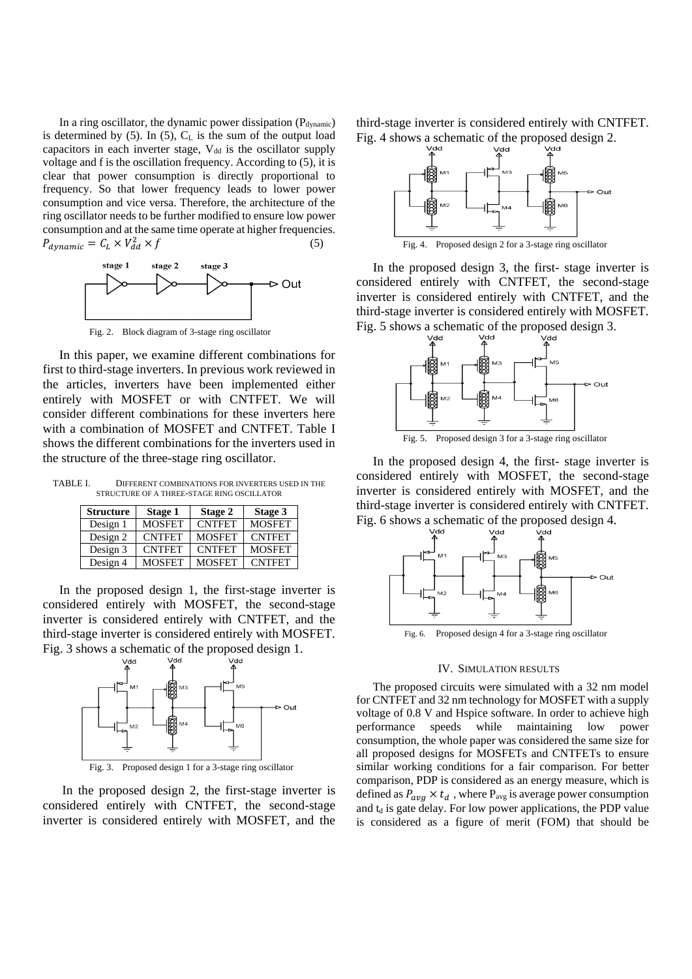In a ring oscillator, the dynamic power dissipation  $(P_{dynamic})$ is determined by  $(5)$ . In  $(5)$ ,  $C<sub>L</sub>$  is the sum of the output load capacitors in each inverter stage,  $V_{dd}$  is the oscillator supply voltage and f is the oscillation frequency. According to (5), it is clear that power consumption is directly proportional to frequency. So that lower frequency leads to lower power consumption and vice versa. Therefore, the architecture of the ring oscillator needs to be further modified to ensure low power consumption and at the same time operate at higher frequencies.  $P_{dynamic} = C_L \times V_{dd}^2 \times f$  (5)



Fig. 2. Block diagram of 3-stage ring oscillator

In this paper, we examine different combinations for first to third-stage inverters. In previous work reviewed in the articles, inverters have been implemented either entirely with MOSFET or with CNTFET. We will consider different combinations for these inverters here with a combination of MOSFET and CNTFET. Table I shows the different combinations for the inverters used in the structure of the three-stage ring oscillator.

TABLE I. DIFFERENT COMBINATIONS FOR INVERTERS USED IN THE STRUCTURE OF A THREE-STAGE RING OSCILLATOR

| <b>Structure</b> | Stage 1       | Stage 2       | Stage 3       |
|------------------|---------------|---------------|---------------|
| Design 1         | <b>MOSFET</b> | <b>CNTFET</b> | <b>MOSFET</b> |
| Design 2         | <b>CNTFET</b> | <b>MOSFET</b> | <b>CNTFET</b> |
| Design 3         | <b>CNTFET</b> | <b>CNTFET</b> | <b>MOSFET</b> |
| Design 4         | <b>MOSFET</b> | <b>MOSFET</b> | <b>CNTFET</b> |

In the proposed design 1, the first-stage inverter is considered entirely with MOSFET, the second-stage inverter is considered entirely with CNTFET, and the third-stage inverter is considered entirely with MOSFET. Fig. 3 shows a schematic of the proposed design 1.



In the proposed design 2, the first-stage inverter is considered entirely with CNTFET, the second-stage inverter is considered entirely with MOSFET, and the

third-stage inverter is considered entirely with CNTFET. Fig. 4 shows a schematic of the proposed design 2.



Fig. 4. Proposed design 2 for a 3-stage ring oscillator

In the proposed design 3, the first- stage inverter is considered entirely with CNTFET, the second-stage inverter is considered entirely with CNTFET, and the third-stage inverter is considered entirely with MOSFET. Fig. 5 shows a schematic of the proposed design 3.



Fig. 5. Proposed design 3 for a 3-stage ring oscillator

In the proposed design 4, the first- stage inverter is considered entirely with MOSFET, the second-stage inverter is considered entirely with MOSFET, and the third-stage inverter is considered entirely with CNTFET. Fig. 6 shows a schematic of the proposed design 4.



Fig. 6. Proposed design 4 for a 3-stage ring oscillator

## IV. SIMULATION RESULTS

The proposed circuits were simulated with a 32 nm model for CNTFET and 32 nm technology for MOSFET with a supply voltage of 0.8 V and Hspice software. In order to achieve high performance speeds while maintaining low power consumption, the whole paper was considered the same size for all proposed designs for MOSFETs and CNTFETs to ensure similar working conditions for a fair comparison. For better comparison, PDP is considered as an energy measure, which is defined as  $P_{avg} \times t_d$ , where  $P_{avg}$  is average power consumption and  $t_d$  is gate delay. For low power applications, the PDP value is considered as a figure of merit (FOM) that should be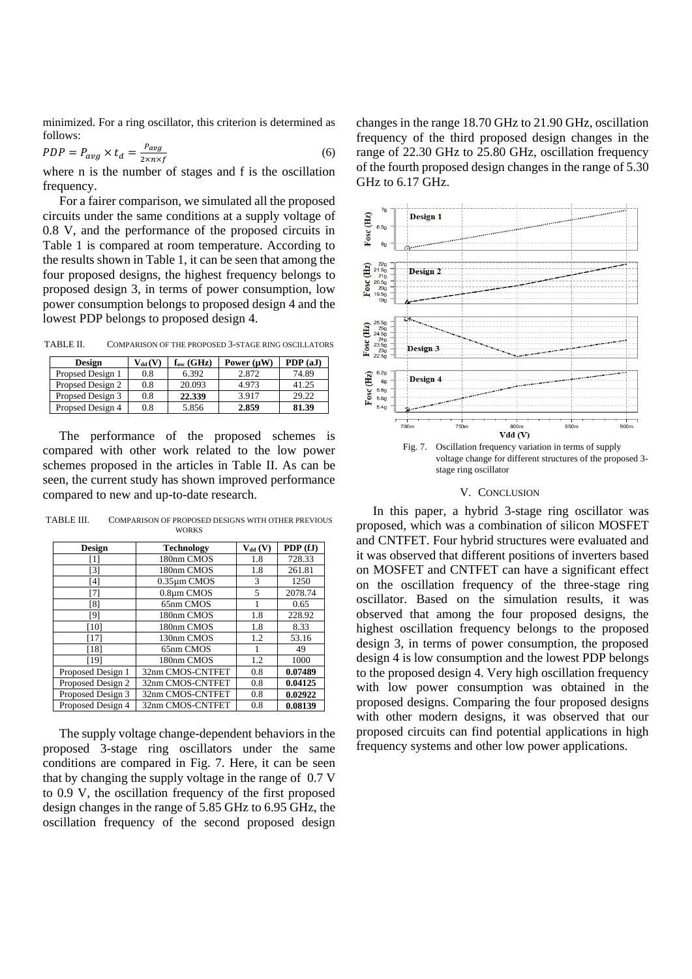minimized. For a ring oscillator, this criterion is determined as follows:

$$
PDP = P_{avg} \times t_d = \frac{P_{avg}}{2 \times n \times f}
$$
\n<sup>(6)</sup>

where n is the number of stages and f is the oscillation frequency.

For a fairer comparison, we simulated all the proposed circuits under the same conditions at a supply voltage of 0.8 V, and the performance of the proposed circuits in Table 1 is compared at room temperature. According to the results shown in Table 1, it can be seen that among the four proposed designs, the highest frequency belongs to proposed design 3, in terms of power consumption, low power consumption belongs to proposed design 4 and the lowest PDP belongs to proposed design 4.

TABLE II. COMPARISON OF THE PROPOSED 3-STAGE RING OSCILLATORS

| Design           | $V_{dd}(V)$ | $f_{osc}$ (GHz) | Power $(\mu W)$ | PDP(aJ) |
|------------------|-------------|-----------------|-----------------|---------|
| Propsed Design 1 | 0.8         | 6.392           | 2.872           | 74.89   |
| Propsed Design 2 | 0.8         | 20.093          | 4.973           | 41.25   |
| Propsed Design 3 | 0.8         | 22.339          | 3.917           | 29.22   |
| Propsed Design 4 | 0.8         | 5.856           | 2.859           | 81.39   |

The performance of the proposed schemes is compared with other work related to the low power schemes proposed in the articles in Table II. As can be seen, the current study has shown improved performance compared to new and up-to-date research.

TABLE III. COMPARISON OF PROPOSED DESIGNS WITH OTHER PREVIOUS **WORKS** 

| Design            | <b>Technology</b> | $V_{dd}$ (V) | PDP (fJ) |
|-------------------|-------------------|--------------|----------|
| [1]               | 180nm CMOS        | 1.8          | 728.33   |
| [3]               | 180nm CMOS        | 1.8          | 261.81   |
| [4]               | $0.35 \mu m$ CMOS | 3            | 1250     |
| [7]               | 0.8um CMOS        | 5            | 2078.74  |
| [8]               | 65nm CMOS         |              | 0.65     |
| [9]               | 180nm CMOS        | 1.8          | 228.92   |
| [10]              | 180nm CMOS        | 1.8          | 8.33     |
| [17]              | 130nm CMOS        | 1.2          | 53.16    |
| [18]              | 65nm CMOS         |              | 49       |
| [19]              | 180nm CMOS        | 1.2          | 1000     |
| Proposed Design 1 | 32nm CMOS-CNTFET  | 0.8          | 0.07489  |
| Proposed Design 2 | 32nm CMOS-CNTFET  | 0.8          | 0.04125  |
| Proposed Design 3 | 32nm CMOS-CNTFET  | 0.8          | 0.02922  |
| Proposed Design 4 | 32nm CMOS-CNTFET  | 0.8          | 0.08139  |

The supply voltage change-dependent behaviors in the proposed 3-stage ring oscillators under the same conditions are compared in Fig. 7. Here, it can be seen that by changing the supply voltage in the range of 0.7 V to 0.9 V, the oscillation frequency of the first proposed design changes in the range of 5.85 GHz to 6.95 GHz, the oscillation frequency of the second proposed design

changes in the range 18.70 GHz to 21.90 GHz, oscillation frequency of the third proposed design changes in the range of 22.30 GHz to 25.80 GHz, oscillation frequency of the fourth proposed design changes in the range of 5.30 GHz to 6.17 GHz.



#### V. CONCLUSION

In this paper, a hybrid 3-stage ring oscillator was proposed, which was a combination of silicon MOSFET and CNTFET. Four hybrid structures were evaluated and it was observed that different positions of inverters based on MOSFET and CNTFET can have a significant effect on the oscillation frequency of the three-stage ring oscillator. Based on the simulation results, it was observed that among the four proposed designs, the highest oscillation frequency belongs to the proposed design 3, in terms of power consumption, the proposed design 4 is low consumption and the lowest PDP belongs to the proposed design 4. Very high oscillation frequency with low power consumption was obtained in the proposed designs. Comparing the four proposed designs with other modern designs, it was observed that our proposed circuits can find potential applications in high frequency systems and other low power applications.